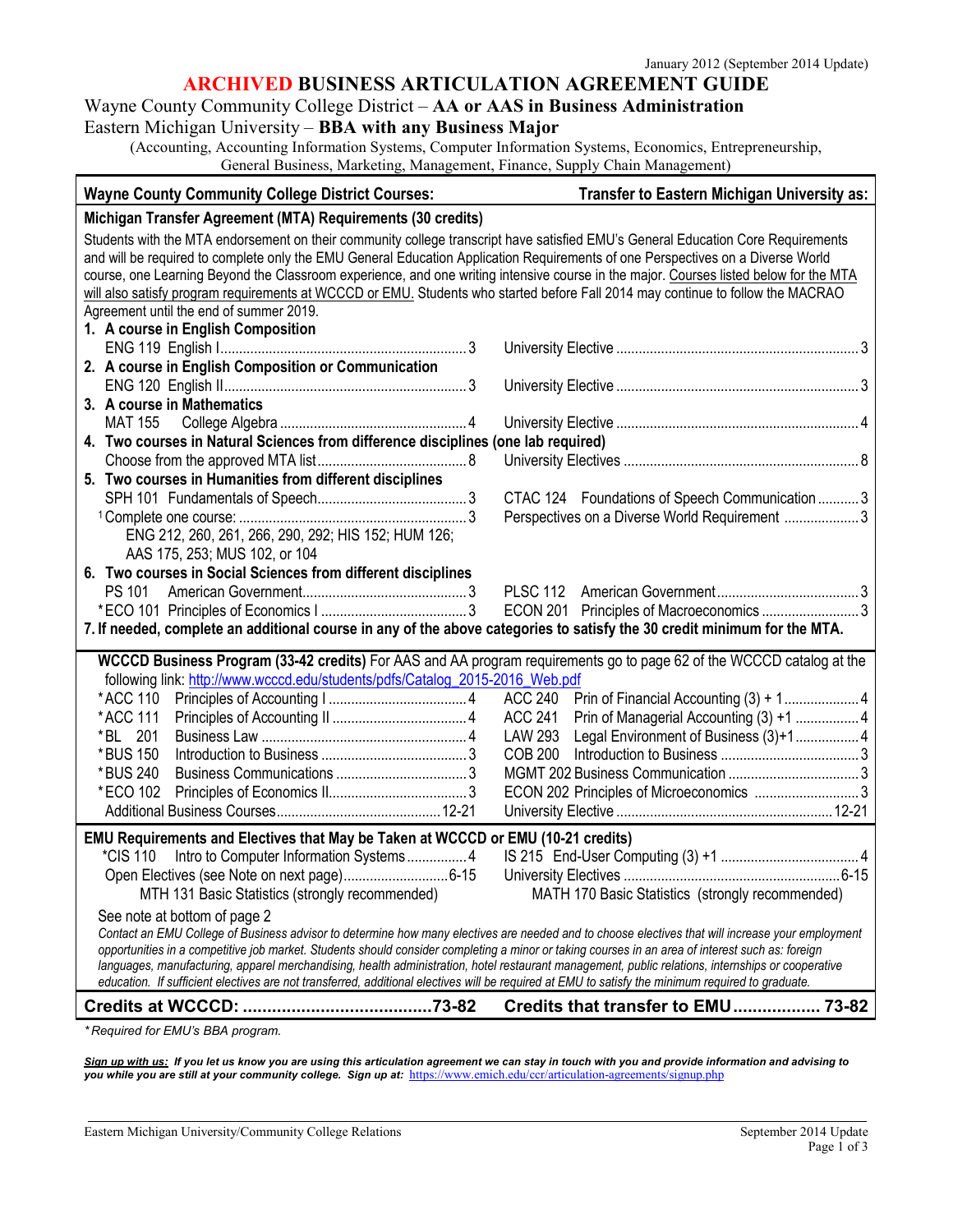#### **ARCHIVED BUSINESS ARTICULATION AGREEMENT GUIDE**

# Wayne County Community College District – **AA or AAS in Business Administration**

## Eastern Michigan University – **BBA with any Business Major**

(Accounting, Accounting Information Systems, Computer Information Systems, Economics, Entrepreneurship, General Business, Marketing, Management, Finance, Supply Chain Management)

| <b>Wayne County Community College District Courses:</b>                                                                                                                                                                                                                                                                                                                                                                                                                                                                                         | <b>Transfer to Eastern Michigan University as:</b>      |  |
|-------------------------------------------------------------------------------------------------------------------------------------------------------------------------------------------------------------------------------------------------------------------------------------------------------------------------------------------------------------------------------------------------------------------------------------------------------------------------------------------------------------------------------------------------|---------------------------------------------------------|--|
| Michigan Transfer Agreement (MTA) Requirements (30 credits)                                                                                                                                                                                                                                                                                                                                                                                                                                                                                     |                                                         |  |
| Students with the MTA endorsement on their community college transcript have satisfied EMU's General Education Core Requirements<br>and will be required to complete only the EMU General Education Application Requirements of one Perspectives on a Diverse World<br>course, one Learning Beyond the Classroom experience, and one writing intensive course in the major. Courses listed below for the MTA<br>will also satisfy program requirements at WCCCD or EMU. Students who started before Fall 2014 may continue to follow the MACRAO |                                                         |  |
| Agreement until the end of summer 2019.                                                                                                                                                                                                                                                                                                                                                                                                                                                                                                         |                                                         |  |
| 1. A course in English Composition                                                                                                                                                                                                                                                                                                                                                                                                                                                                                                              |                                                         |  |
| 2. A course in English Composition or Communication                                                                                                                                                                                                                                                                                                                                                                                                                                                                                             |                                                         |  |
|                                                                                                                                                                                                                                                                                                                                                                                                                                                                                                                                                 |                                                         |  |
| 3. A course in Mathematics                                                                                                                                                                                                                                                                                                                                                                                                                                                                                                                      |                                                         |  |
| <b>MAT 155</b>                                                                                                                                                                                                                                                                                                                                                                                                                                                                                                                                  |                                                         |  |
| 4. Two courses in Natural Sciences from difference disciplines (one lab required)                                                                                                                                                                                                                                                                                                                                                                                                                                                               |                                                         |  |
|                                                                                                                                                                                                                                                                                                                                                                                                                                                                                                                                                 |                                                         |  |
| 5. Two courses in Humanities from different disciplines                                                                                                                                                                                                                                                                                                                                                                                                                                                                                         |                                                         |  |
|                                                                                                                                                                                                                                                                                                                                                                                                                                                                                                                                                 | CTAC 124 Foundations of Speech Communication  3         |  |
|                                                                                                                                                                                                                                                                                                                                                                                                                                                                                                                                                 | Perspectives on a Diverse World Requirement  3          |  |
| ENG 212, 260, 261, 266, 290, 292; HIS 152; HUM 126;                                                                                                                                                                                                                                                                                                                                                                                                                                                                                             |                                                         |  |
| AAS 175, 253; MUS 102, or 104                                                                                                                                                                                                                                                                                                                                                                                                                                                                                                                   |                                                         |  |
| 6. Two courses in Social Sciences from different disciplines                                                                                                                                                                                                                                                                                                                                                                                                                                                                                    |                                                         |  |
| PS 101                                                                                                                                                                                                                                                                                                                                                                                                                                                                                                                                          |                                                         |  |
|                                                                                                                                                                                                                                                                                                                                                                                                                                                                                                                                                 | ECON 201 Principles of Macroeconomics 3                 |  |
| 7. If needed, complete an additional course in any of the above categories to satisfy the 30 credit minimum for the MTA.                                                                                                                                                                                                                                                                                                                                                                                                                        |                                                         |  |
| WCCCD Business Program (33-42 credits) For AAS and AA program requirements go to page 62 of the WCCCD catalog at the                                                                                                                                                                                                                                                                                                                                                                                                                            |                                                         |  |
| following link: http://www.wcccd.edu/students/pdfs/Catalog_2015-2016_Web.pdf                                                                                                                                                                                                                                                                                                                                                                                                                                                                    |                                                         |  |
| *ACC 110                                                                                                                                                                                                                                                                                                                                                                                                                                                                                                                                        |                                                         |  |
| *ACC 111                                                                                                                                                                                                                                                                                                                                                                                                                                                                                                                                        | <b>ACC 241</b>                                          |  |
| *BL 201                                                                                                                                                                                                                                                                                                                                                                                                                                                                                                                                         | <b>LAW 293</b><br>Legal Environment of Business (3)+1 4 |  |
| *BUS 150                                                                                                                                                                                                                                                                                                                                                                                                                                                                                                                                        | <b>COB 200</b>                                          |  |
| *BUS 240                                                                                                                                                                                                                                                                                                                                                                                                                                                                                                                                        |                                                         |  |
| *ECO 102                                                                                                                                                                                                                                                                                                                                                                                                                                                                                                                                        | ECON 202 Principles of Microeconomics 3                 |  |
|                                                                                                                                                                                                                                                                                                                                                                                                                                                                                                                                                 |                                                         |  |
| EMU Requirements and Electives that May be Taken at WCCCD or EMU (10-21 credits)                                                                                                                                                                                                                                                                                                                                                                                                                                                                |                                                         |  |
| *CIS 110 Intro to Computer Information Systems 4                                                                                                                                                                                                                                                                                                                                                                                                                                                                                                |                                                         |  |
|                                                                                                                                                                                                                                                                                                                                                                                                                                                                                                                                                 |                                                         |  |
| MTH 131 Basic Statistics (strongly recommended)                                                                                                                                                                                                                                                                                                                                                                                                                                                                                                 | MATH 170 Basic Statistics (strongly recommended)        |  |
| See note at bottom of page 2                                                                                                                                                                                                                                                                                                                                                                                                                                                                                                                    |                                                         |  |
| Contact an EMU College of Business advisor to determine how many electives are needed and to choose electives that will increase your employment<br>opportunities in a competitive job market. Students should consider completing a minor or taking courses in an area of interest such as: foreign                                                                                                                                                                                                                                            |                                                         |  |
| languages, manufacturing, apparel merchandising, health administration, hotel restaurant management, public relations, internships or cooperative                                                                                                                                                                                                                                                                                                                                                                                               |                                                         |  |
| education. If sufficient electives are not transferred, additional electives will be required at EMU to satisfy the minimum required to graduate.                                                                                                                                                                                                                                                                                                                                                                                               |                                                         |  |
|                                                                                                                                                                                                                                                                                                                                                                                                                                                                                                                                                 | Credits that transfer to EMU 73-82                      |  |

*\* Required for EMU's BBA program.*

*Sign up with us: If you let us know you are using this articulation agreement we can stay in touch with you and provide information and advising to you while you are still at your community college. Sign up at:* <https://www.emich.edu/ccr/articulation-agreements/signup.php>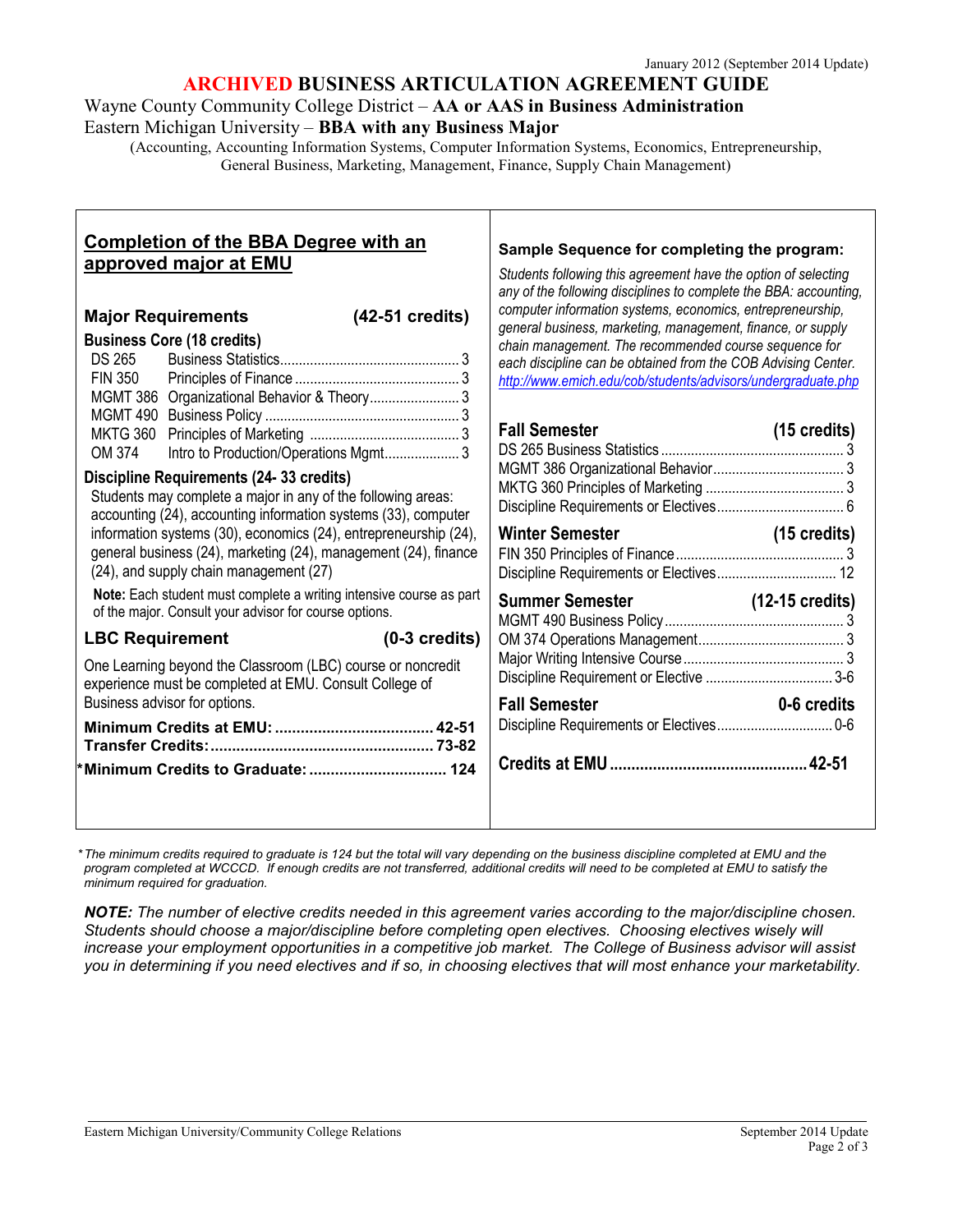### **ARCHIVED BUSINESS ARTICULATION AGREEMENT GUIDE**

Wayne County Community College District – **AA or AAS in Business Administration** Eastern Michigan University – **BBA with any Business Major**

(Accounting, Accounting Information Systems, Computer Information Systems, Economics, Entrepreneurship, General Business, Marketing, Management, Finance, Supply Chain Management)

| <b>Completion of the BBA Degree with an</b><br>approved major at EMU<br>$(42-51$ credits)<br><b>Major Requirements</b>                                                                                                                                                                                                                                                                                                                                                                                                                         | Sample Sequence for completing the program:<br>Students following this agreement have the option of selecting<br>any of the following disciplines to complete the BBA: accounting,<br>computer information systems, economics, entrepreneurship,      |
|------------------------------------------------------------------------------------------------------------------------------------------------------------------------------------------------------------------------------------------------------------------------------------------------------------------------------------------------------------------------------------------------------------------------------------------------------------------------------------------------------------------------------------------------|-------------------------------------------------------------------------------------------------------------------------------------------------------------------------------------------------------------------------------------------------------|
| <b>Business Core (18 credits)</b><br><b>DS 265</b><br><b>FIN 350</b><br>MGMT 386 Organizational Behavior & Theory 3                                                                                                                                                                                                                                                                                                                                                                                                                            | general business, marketing, management, finance, or supply<br>chain management. The recommended course sequence for<br>each discipline can be obtained from the COB Advising Center.<br>http://www.emich.edu/cob/students/advisors/undergraduate.php |
| Intro to Production/Operations Mgmt 3<br>OM 374<br>Discipline Requirements (24-33 credits)<br>Students may complete a major in any of the following areas:<br>accounting (24), accounting information systems (33), computer<br>information systems (30), economics (24), entrepreneurship (24),<br>general business (24), marketing (24), management (24), finance<br>(24), and supply chain management (27)<br>Note: Each student must complete a writing intensive course as part<br>of the major. Consult your advisor for course options. | <b>Fall Semester</b><br>(15 credits)<br>Winter Semester North Semi-<br>$(15 \text{ credits})$<br>Summer Semester (12-15 credits)                                                                                                                      |
| $(0-3$ credits)<br><b>LBC Requirement</b><br>One Learning beyond the Classroom (LBC) course or noncredit<br>experience must be completed at EMU. Consult College of<br>Business advisor for options.<br>*Minimum Credits to Graduate:  124                                                                                                                                                                                                                                                                                                     | 0-6 credits<br><b>Fall Semester</b>                                                                                                                                                                                                                   |

*\*The minimum credits required to graduate is 124 but the total will vary depending on the business discipline completed at EMU and the program completed at WCCCD. If enough credits are not transferred, additional credits will need to be completed at EMU to satisfy the minimum required for graduation.*

*NOTE: The number of elective credits needed in this agreement varies according to the major/discipline chosen. Students should choose a major/discipline before completing open electives. Choosing electives wisely will increase your employment opportunities in a competitive job market. The College of Business advisor will assist you in determining if you need electives and if so, in choosing electives that will most enhance your marketability.*